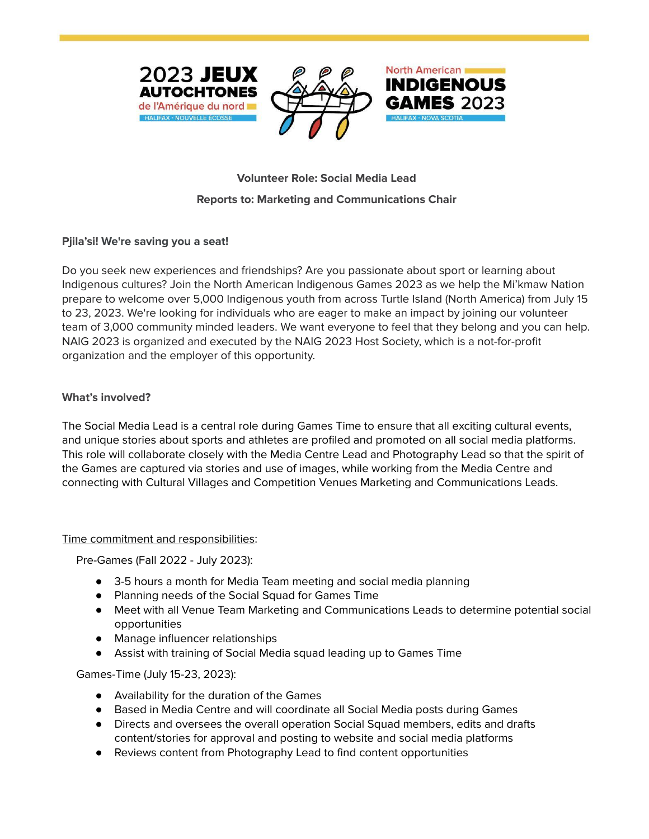





# **Volunteer Role: Social Media Lead Reports to: Marketing and Communications Chair**

## **Pjila'si! We're saving you a seat!**

Do you seek new experiences and friendships? Are you passionate about sport or learning about Indigenous cultures? Join the North American Indigenous Games 2023 as we help the Mi'kmaw Nation prepare to welcome over 5,000 Indigenous youth from across Turtle Island (North America) from July 15 to 23, 2023. We're looking for individuals who are eager to make an impact by joining our volunteer team of 3,000 community minded leaders. We want everyone to feel that they belong and you can help. NAIG 2023 is organized and executed by the NAIG 2023 Host Society, which is a not-for-profit organization and the employer of this opportunity.

### **What's involved?**

The Social Media Lead is a central role during Games Time to ensure that all exciting cultural events, and unique stories about sports and athletes are profiled and promoted on all social media platforms. This role will collaborate closely with the Media Centre Lead and Photography Lead so that the spirit of the Games are captured via stories and use of images, while working from the Media Centre and connecting with Cultural Villages and Competition Venues Marketing and Communications Leads.

### Time commitment and responsibilities:

Pre-Games (Fall 2022 - July 2023):

- 3-5 hours a month for Media Team meeting and social media planning
- Planning needs of the Social Squad for Games Time
- Meet with all Venue Team Marketing and Communications Leads to determine potential social opportunities
- Manage influencer relationships
- Assist with training of Social Media squad leading up to Games Time

Games-Time (July 15-23, 2023):

- Availability for the duration of the Games
- Based in Media Centre and will coordinate all Social Media posts during Games
- Directs and oversees the overall operation Social Squad members, edits and drafts content/stories for approval and posting to website and social media platforms
- Reviews content from Photography Lead to find content opportunities